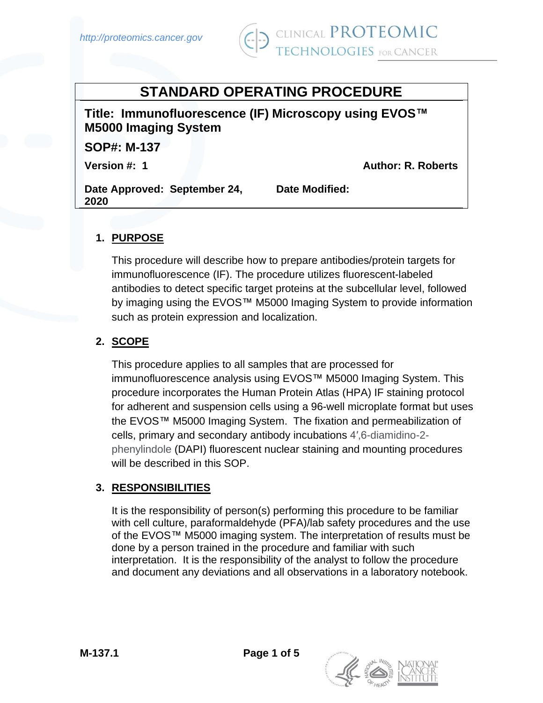

# **STANDARD OPERATING PROCEDURE**

**Title: Immunofluorescence (IF) Microscopy using EVOS™ M5000 Imaging System**

**SOP#: M-137** 

**Version #: 1 Author: R. Roberts** 

**Date Approved: September 24, 2020**

**Date Modified:** 

# **1. PURPOSE**

This procedure will describe how to prepare antibodies/protein targets for immunofluorescence (IF). The procedure utilizes fluorescent-labeled antibodies to detect specific target proteins at the subcellular level, followed by imaging using the EVOS™ M5000 Imaging System to provide information such as protein expression and localization.

# **2. SCOPE**

This procedure applies to all samples that are processed for immunofluorescence analysis using EVOS™ M5000 Imaging System. This procedure incorporates the Human Protein Atlas (HPA) IF staining protocol for adherent and suspension cells using a 96-well microplate format but uses the EVOS™ M5000 Imaging System. The fixation and permeabilization of cells, primary and secondary antibody incubations 4′,6-diamidino-2 phenylindole (DAPI) fluorescent nuclear staining and mounting procedures will be described in this SOP.

# **3. RESPONSIBILITIES**

It is the responsibility of person(s) performing this procedure to be familiar with cell culture, paraformaldehyde (PFA)/lab safety procedures and the use of the EVOS™ M5000 imaging system. The interpretation of results must be done by a person trained in the procedure and familiar with such interpretation. It is the responsibility of the analyst to follow the procedure and document any deviations and all observations in a laboratory notebook.

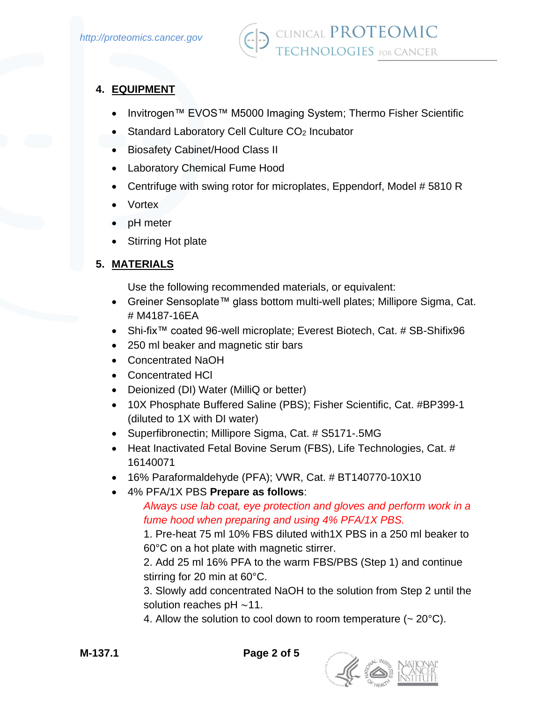## **4. EQUIPMENT**

- Invitrogen™ EVOS™ M5000 Imaging System; Thermo Fisher Scientific
- Standard Laboratory Cell Culture CO<sub>2</sub> Incubator
- Biosafety Cabinet/Hood Class II
- Laboratory Chemical Fume Hood
- Centrifuge with swing rotor for microplates, Eppendorf, Model #5810 R
- Vortex
- pH meter
- Stirring Hot plate

## **5. MATERIALS**

Use the following recommended materials, or equivalent:

- Greiner Sensoplate™ glass bottom multi-well plates; Millipore Sigma, Cat. # M4187-16EA
- Shi-fix™ coated 96-well microplate; Everest Biotech, Cat. # SB-Shifix96
- 250 ml beaker and magnetic stir bars
- Concentrated NaOH
- Concentrated HCl
- Deionized (DI) Water (MilliQ or better)
- 10X Phosphate Buffered Saline (PBS); Fisher Scientific, Cat. #BP399-1 (diluted to 1X with DI water)
- Superfibronectin; Millipore Sigma, Cat. # S5171-.5MG
- Heat Inactivated Fetal Bovine Serum (FBS), Life Technologies, Cat. # 16140071
- 16% Paraformaldehyde (PFA); VWR, Cat. # BT140770-10X10
- 4% PFA/1X PBS **Prepare as follows**:

*Always use lab coat, eye protection and gloves and perform work in a fume hood when preparing and using 4% PFA/1X PBS.*

1. Pre-heat 75 ml 10% FBS diluted with1X PBS in a 250 ml beaker to 60°C on a hot plate with magnetic stirrer.

2. Add 25 ml 16% PFA to the warm FBS/PBS (Step 1) and continue stirring for 20 min at 60°C.

3. Slowly add concentrated NaOH to the solution from Step 2 until the solution reaches pH ∼11.

4. Allow the solution to cool down to room temperature  $($   $\sim$  20 $^{\circ}$ C).

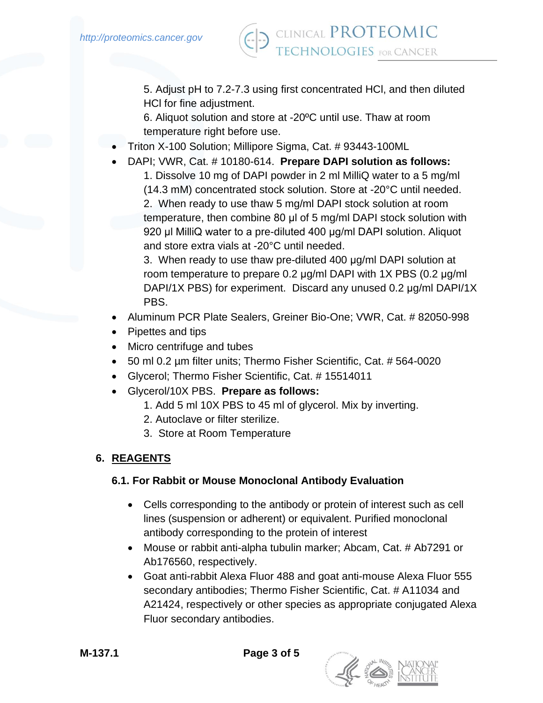5. Adjust pH to 7.2-7.3 using first concentrated HCl, and then diluted HCl for fine adjustment.

6. Aliquot solution and store at -20ºC until use. Thaw at room temperature right before use.

- Triton X-100 Solution; Millipore Sigma, Cat. # 93443-100ML
	- DAPI; VWR, Cat. # 10180-614. **Prepare DAPI solution as follows:** 1. Dissolve 10 mg of DAPI powder in 2 ml MilliQ water to a 5 mg/ml (14.3 mM) concentrated stock solution. Store at -20°C until needed. 2. When ready to use thaw 5 mg/ml DAPI stock solution at room temperature, then combine 80 μl of 5 mg/ml DAPI stock solution with 920 μl MilliQ water to a pre-diluted 400 μg/ml DAPI solution. Aliquot and store extra vials at -20°C until needed.

3. When ready to use thaw pre-diluted 400 μg/ml DAPI solution at room temperature to prepare 0.2 μg/ml DAPI with 1X PBS (0.2 μg/ml DAPI/1X PBS) for experiment. Discard any unused 0.2 μg/ml DAPI/1X PBS.

- Aluminum PCR Plate Sealers, Greiner Bio-One; VWR, Cat. # 82050-998
- Pipettes and tips
- Micro centrifuge and tubes
- 50 ml 0.2 µm filter units; Thermo Fisher Scientific, Cat. # 564-0020
- Glycerol; Thermo Fisher Scientific, Cat. # 15514011
- Glycerol/10X PBS. **Prepare as follows:**
	- 1. Add 5 ml 10X PBS to 45 ml of glycerol. Mix by inverting.
	- 2. Autoclave or filter sterilize.
	- 3. Store at Room Temperature

# **6. REAGENTS**

# **6.1. For Rabbit or Mouse Monoclonal Antibody Evaluation**

- Cells corresponding to the antibody or protein of interest such as cell lines (suspension or adherent) or equivalent. Purified monoclonal antibody corresponding to the protein of interest
- Mouse or rabbit anti-alpha tubulin marker; Abcam, Cat. # Ab7291 or Ab176560, respectively.
- Goat anti-rabbit Alexa Fluor 488 and goat anti-mouse Alexa Fluor 555 secondary antibodies; Thermo Fisher Scientific, Cat. # A11034 and A21424, respectively or other species as appropriate conjugated Alexa Fluor secondary antibodies.

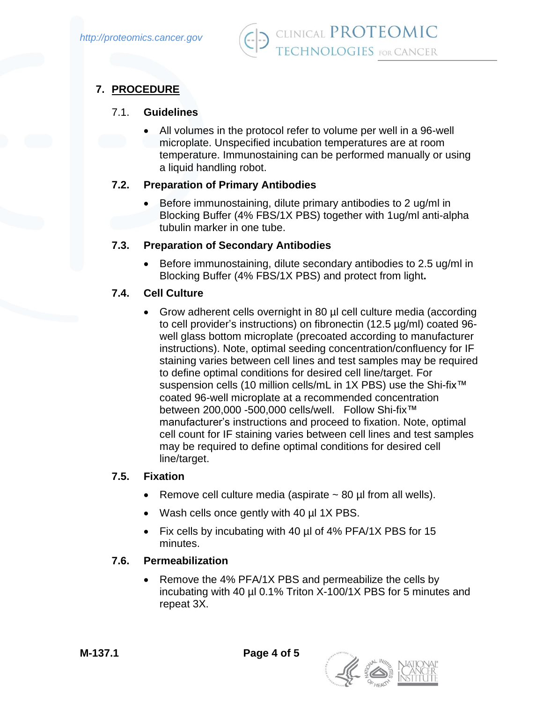

# **7. PROCEDURE**

#### 7.1. **Guidelines**

• All volumes in the protocol refer to volume per well in a 96-well microplate. Unspecified incubation temperatures are at room temperature. Immunostaining can be performed manually or using a liquid handling robot.

## **7.2. Preparation of Primary Antibodies**

• Before immunostaining, dilute primary antibodies to 2 ug/ml in Blocking Buffer (4% FBS/1X PBS) together with 1ug/ml anti-alpha tubulin marker in one tube.

#### **7.3. Preparation of Secondary Antibodies**

• Before immunostaining, dilute secondary antibodies to 2.5 ug/ml in Blocking Buffer (4% FBS/1X PBS) and protect from light**.**

#### **7.4. Cell Culture**

• Grow adherent cells overnight in 80 µl cell culture media (according to cell provider's instructions) on fibronectin (12.5 µg/ml) coated 96 well glass bottom microplate (precoated according to manufacturer instructions). Note, optimal seeding concentration/confluency for IF staining varies between cell lines and test samples may be required to define optimal conditions for desired cell line/target. For suspension cells (10 million cells/mL in 1X PBS) use the Shi-fix<sup>™</sup> coated 96-well microplate at a recommended concentration between 200,000 -500,000 cells/well. Follow Shi-fix™ manufacturer's instructions and proceed to fixation. Note, optimal cell count for IF staining varies between cell lines and test samples may be required to define optimal conditions for desired cell line/target.

#### **7.5. Fixation**

- Remove cell culture media (aspirate  $\sim$  80 µl from all wells).
- Wash cells once gently with 40 µl 1X PBS.
- Fix cells by incubating with 40 µl of 4% PFA/1X PBS for 15 minutes.

## **7.6. Permeabilization**

• Remove the 4% PFA/1X PBS and permeabilize the cells by incubating with 40 µl 0.1% Triton X-100/1X PBS for 5 minutes and repeat 3X.